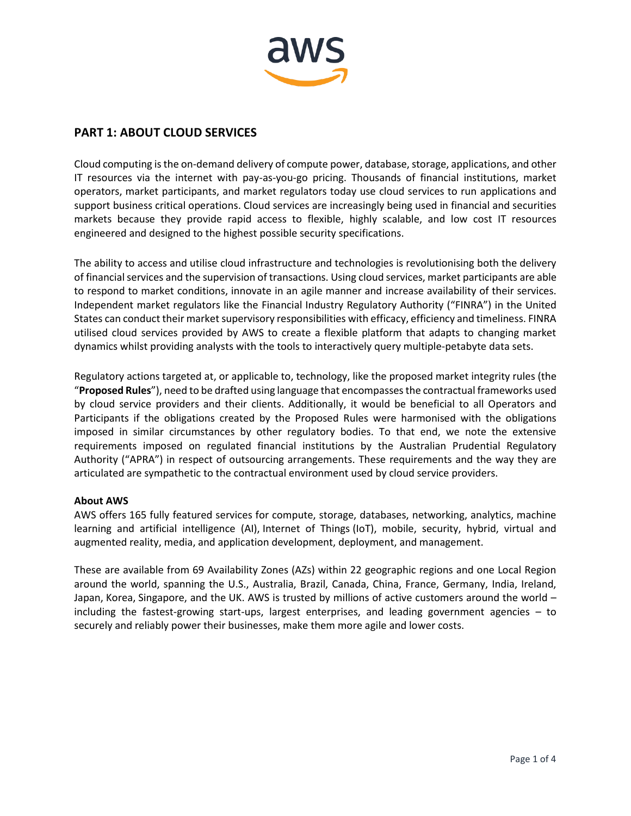

## **PART 1: ABOUT CLOUD SERVICES**

Cloud computing isthe on-demand delivery of compute power, database, storage, applications, and other IT resources via the internet with pay-as-you-go pricing. Thousands of financial institutions, market operators, market participants, and market regulators today use cloud services to run applications and support business critical operations. Cloud services are increasingly being used in financial and securities markets because they provide rapid access to flexible, highly scalable, and low cost IT resources engineered and designed to the highest possible security specifications.

The ability to access and utilise cloud infrastructure and technologies is revolutionising both the delivery of financial services and the supervision of transactions. Using cloud services, market participants are able to respond to market conditions, innovate in an agile manner and increase availability of their services. Independent market regulators like the Financial Industry Regulatory Authority ("FINRA") in the United States can conduct their market supervisory responsibilities with efficacy, efficiency and timeliness. FINRA utilised cloud services provided by AWS to create a flexible platform that adapts to changing market dynamics whilst providing analysts with the tools to interactively query multiple-petabyte data sets.

Regulatory actions targeted at, or applicable to, technology, like the proposed market integrity rules (the "**Proposed Rules**"), need to be drafted using language that encompasses the contractual frameworks used by cloud service providers and their clients. Additionally, it would be beneficial to all Operators and Participants if the obligations created by the Proposed Rules were harmonised with the obligations imposed in similar circumstances by other regulatory bodies. To that end, we note the extensive requirements imposed on regulated financial institutions by the Australian Prudential Regulatory Authority ("APRA") in respect of outsourcing arrangements. These requirements and the way they are articulated are sympathetic to the contractual environment used by cloud service providers.

#### **About AWS**

AWS offers 165 fully featured services for compute, storage, databases, networking, analytics, machine learning and artificial intelligence (AI), Internet of Things (IoT), mobile, security, hybrid, virtual and augmented reality, media, and application development, deployment, and management.

These are available from 69 Availability Zones (AZs) within 22 geographic regions and one Local Region around the world, spanning the U.S., Australia, Brazil, Canada, China, France, Germany, India, Ireland, Japan, Korea, Singapore, and the UK. AWS is trusted by millions of active customers around the world – including the fastest-growing start-ups, largest enterprises, and leading government agencies – to securely and reliably power their businesses, make them more agile and lower costs.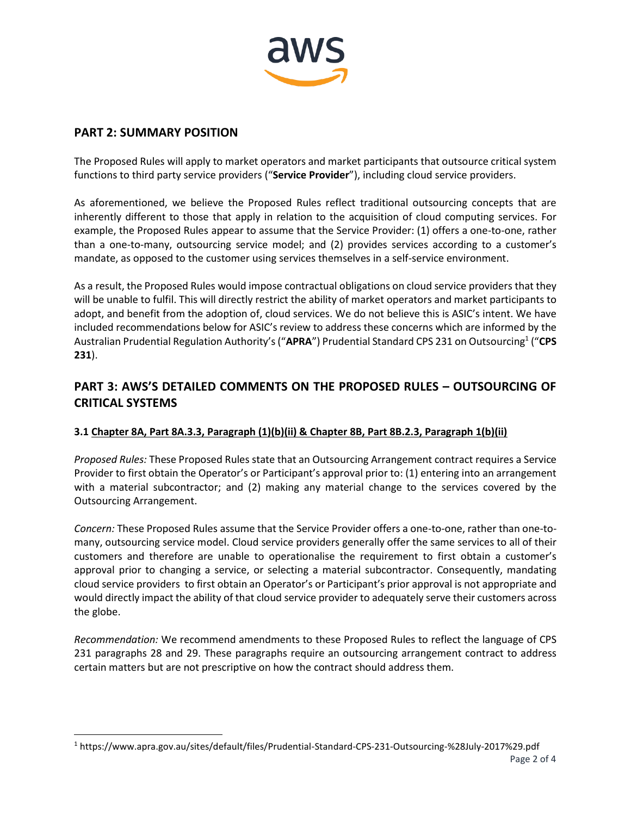

## **PART 2: SUMMARY POSITION**

 $\overline{\phantom{a}}$ 

The Proposed Rules will apply to market operators and market participants that outsource critical system functions to third party service providers ("**Service Provider**"), including cloud service providers.

As aforementioned, we believe the Proposed Rules reflect traditional outsourcing concepts that are inherently different to those that apply in relation to the acquisition of cloud computing services. For example, the Proposed Rules appear to assume that the Service Provider: (1) offers a one-to-one, rather than a one-to-many, outsourcing service model; and (2) provides services according to a customer's mandate, as opposed to the customer using services themselves in a self-service environment.

As a result, the Proposed Rules would impose contractual obligations on cloud service providers that they will be unable to fulfil. This will directly restrict the ability of market operators and market participants to adopt, and benefit from the adoption of, cloud services. We do not believe this is ASIC's intent. We have included recommendations below for ASIC's review to address these concerns which are informed by the Australian Prudential Regulation Authority's ("**APRA**") Prudential Standard CPS 231 on Outsourcing<sup>1</sup> ("**CPS 231**).

# **PART 3: AWS'S DETAILED COMMENTS ON THE PROPOSED RULES – OUTSOURCING OF CRITICAL SYSTEMS**

## **3.1 Chapter 8A, Part 8A.3.3, Paragraph (1)(b)(ii) & Chapter 8B, Part 8B.2.3, Paragraph 1(b)(ii)**

*Proposed Rules:* These Proposed Rules state that an Outsourcing Arrangement contract requires a Service Provider to first obtain the Operator's or Participant's approval prior to: (1) entering into an arrangement with a material subcontractor; and (2) making any material change to the services covered by the Outsourcing Arrangement.

*Concern:* These Proposed Rules assume that the Service Provider offers a one-to-one, rather than one-tomany, outsourcing service model. Cloud service providers generally offer the same services to all of their customers and therefore are unable to operationalise the requirement to first obtain a customer's approval prior to changing a service, or selecting a material subcontractor. Consequently, mandating cloud service providers to first obtain an Operator's or Participant's prior approval is not appropriate and would directly impact the ability of that cloud service provider to adequately serve their customers across the globe.

*Recommendation:* We recommend amendments to these Proposed Rules to reflect the language of CPS 231 paragraphs 28 and 29. These paragraphs require an outsourcing arrangement contract to address certain matters but are not prescriptive on how the contract should address them.

<sup>1</sup> <https://www.apra.gov.au/sites/default/files/Prudential-Standard-CPS-231-Outsourcing-%28July-2017%29.pdf>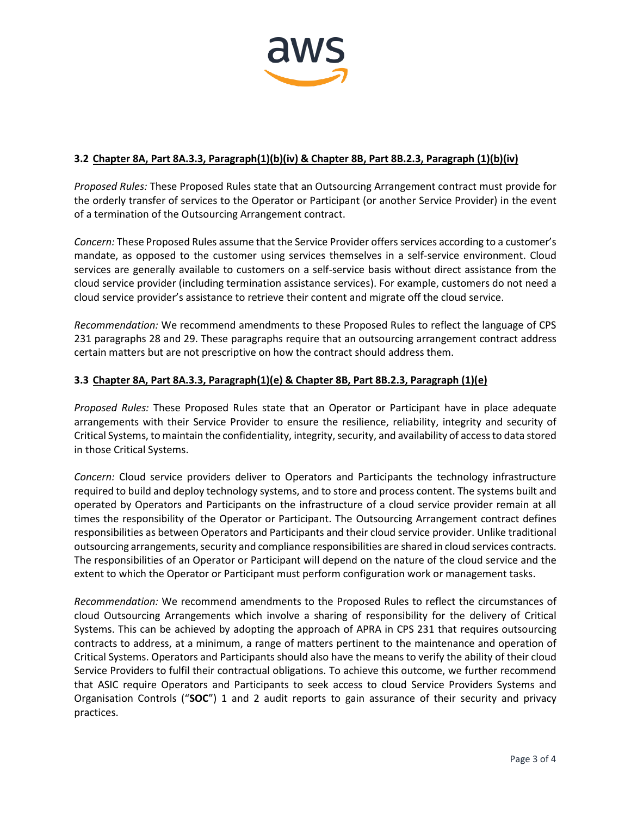

### **3.2 Chapter 8A, Part 8A.3.3, Paragraph(1)(b)(iv) & Chapter 8B, Part 8B.2.3, Paragraph (1)(b)(iv)**

*Proposed Rules:* These Proposed Rules state that an Outsourcing Arrangement contract must provide for the orderly transfer of services to the Operator or Participant (or another Service Provider) in the event of a termination of the Outsourcing Arrangement contract.

*Concern:* These Proposed Rules assume that the Service Provider offers services according to a customer's mandate, as opposed to the customer using services themselves in a self-service environment. Cloud services are generally available to customers on a self-service basis without direct assistance from the cloud service provider (including termination assistance services). For example, customers do not need a cloud service provider's assistance to retrieve their content and migrate off the cloud service.

*Recommendation:* We recommend amendments to these Proposed Rules to reflect the language of CPS 231 paragraphs 28 and 29. These paragraphs require that an outsourcing arrangement contract address certain matters but are not prescriptive on how the contract should address them.

#### **3.3 Chapter 8A, Part 8A.3.3, Paragraph(1)(e) & Chapter 8B, Part 8B.2.3, Paragraph (1)(e)**

*Proposed Rules:* These Proposed Rules state that an Operator or Participant have in place adequate arrangements with their Service Provider to ensure the resilience, reliability, integrity and security of Critical Systems, to maintain the confidentiality, integrity, security, and availability of access to data stored in those Critical Systems.

*Concern:* Cloud service providers deliver to Operators and Participants the technology infrastructure required to build and deploy technology systems, and to store and process content. The systems built and operated by Operators and Participants on the infrastructure of a cloud service provider remain at all times the responsibility of the Operator or Participant. The Outsourcing Arrangement contract defines responsibilities as between Operators and Participants and their cloud service provider. Unlike traditional outsourcing arrangements, security and compliance responsibilities are shared in cloud services contracts. The responsibilities of an Operator or Participant will depend on the nature of the cloud service and the extent to which the Operator or Participant must perform configuration work or management tasks.

*Recommendation:* We recommend amendments to the Proposed Rules to reflect the circumstances of cloud Outsourcing Arrangements which involve a sharing of responsibility for the delivery of Critical Systems. This can be achieved by adopting the approach of APRA in CPS 231 that requires outsourcing contracts to address, at a minimum, a range of matters pertinent to the maintenance and operation of Critical Systems. Operators and Participants should also have the means to verify the ability of their cloud Service Providers to fulfil their contractual obligations. To achieve this outcome, we further recommend that ASIC require Operators and Participants to seek access to cloud Service Providers Systems and Organisation Controls ("**SOC**") 1 and 2 audit reports to gain assurance of their security and privacy practices.